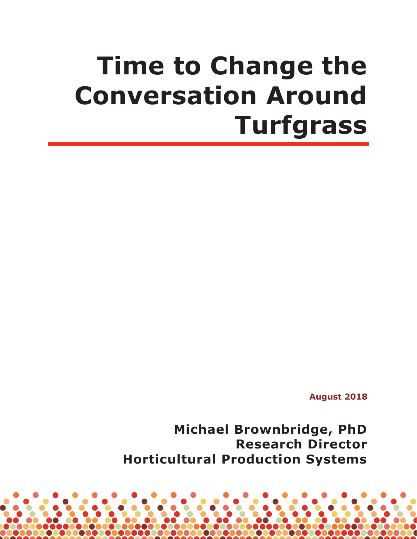# **Time to Change the Conversation Around Turfgrass**

**August 2018**

**Michael Brownbridge, PhD Research Director Horticultural Production Systems**

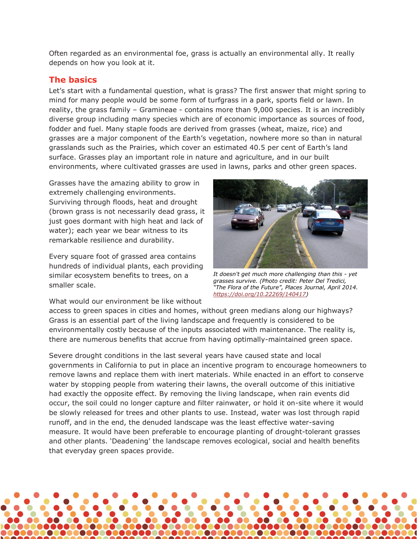Often regarded as an environmental foe, grass is actually an environmental ally. It really depends on how you look at it.

#### **The basics**

Let's start with a fundamental question, what is grass? The first answer that might spring to mind for many people would be some form of turfgrass in a park, sports field or lawn. In reality, the grass family  $-$  Gramineae  $-$  contains more than 9,000 species. It is an incredibly diverse group including many species which are of economic importance as sources of food, fodder and fuel. Many staple foods are derived from grasses (wheat, maize, rice) and grasses are a major component of the Earth's vegetation, nowhere more so than in natural grasslands such as the Prairies, which cover an estimated 40.5 per cent of Earth's land surface. Grasses play an important role in nature and agriculture, and in our built environments, where cultivated grasses are used in lawns, parks and other green spaces.

Grasses have the amazing ability to grow in extremely challenging environments. Surviving through floods, heat and drought (brown grass is not necessarily dead grass, it just goes dormant with high heat and lack of water); each year we bear witness to its remarkable resilience and durability.

Every square foot of grassed area contains hundreds of individual plants, each providing similar ecosystem benefits to trees, on a smaller scale.



*It doesn't get much more challenging than this - yet grasses survive. (Photo credit: Peter Del Tredici,*  <sup>"</sup>The Flora of the Future", Places Journal, April 2014. *[https://doi.org/10.22269/140417\)](https://doi.org/10.22269/140417)* 

What would our environment be like without

access to green spaces in cities and homes, without green medians along our highways? Grass is an essential part of the living landscape and frequently is considered to be environmentally costly because of the inputs associated with maintenance. The reality is, there are numerous benefits that accrue from having optimally-maintained green space.

Severe drought conditions in the last several years have caused state and local governments in California to put in place an incentive program to encourage homeowners to remove lawns and replace them with inert materials. While enacted in an effort to conserve water by stopping people from watering their lawns, the overall outcome of this initiative had exactly the opposite effect. By removing the living landscape, when rain events did occur, the soil could no longer capture and filter rainwater, or hold it on-site where it would be slowly released for trees and other plants to use. Instead, water was lost through rapid runoff, and in the end, the denuded landscape was the least effective water-saving measure. It would have been preferable to encourage planting of drought-tolerant grasses and other plants. 'Deadening' the landscape removes ecological, social and health benefits that everyday green spaces provide.

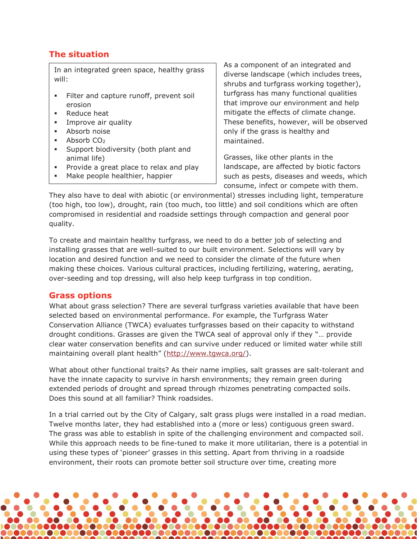### **The situation**

In an integrated green space, healthy grass will:

- Filter and capture runoff, prevent soil erosion
- **Reduce heat**
- **Improve air quality**
- **Absorb noise**
- Absorb CO2
- Support biodiversity (both plant and animal life)
- **Provide a great place to relax and play**
- Make people healthier, happier

As a component of an integrated and diverse landscape (which includes trees, shrubs and turfgrass working together), turfgrass has many functional qualities that improve our environment and help mitigate the effects of climate change. These benefits, however, will be observed only if the grass is healthy and maintained.

Grasses, like other plants in the landscape, are affected by biotic factors such as pests, diseases and weeds, which consume, infect or compete with them.

They also have to deal with abiotic (or environmental) stresses including light, temperature (too high, too low), drought, rain (too much, too little) and soil conditions which are often compromised in residential and roadside settings through compaction and general poor quality.

To create and maintain healthy turfgrass, we need to do a better job of selecting and installing grasses that are well-suited to our built environment. Selections will vary by location and desired function and we need to consider the climate of the future when making these choices. Various cultural practices, including fertilizing, watering, aerating, over-seeding and top dressing, will also help keep turfgrass in top condition.

#### **Grass options**

What about grass selection? There are several turfgrass varieties available that have been selected based on environmental performance. For example, the Turfgrass Water Conservation Alliance (TWCA) evaluates turfgrasses based on their capacity to withstand drought conditions. Grasses are given the TWCA seal of approval only if they "... provide clear water conservation benefits and can survive under reduced or limited water while still maintaining overall plant health" [\(http://www.tgwca.org/\)](http://www.tgwca.org/).

What about other functional traits? As their name implies, salt grasses are salt-tolerant and have the innate capacity to survive in harsh environments; they remain green during extended periods of drought and spread through rhizomes penetrating compacted soils. Does this sound at all familiar? Think roadsides.

In a trial carried out by the City of Calgary, salt grass plugs were installed in a road median. Twelve months later, they had established into a (more or less) contiguous green sward. The grass was able to establish in spite of the challenging environment and compacted soil. While this approach needs to be fine-tuned to make it more utilitarian, there is a potential in using these types of 'pioneer' grasses in this setting. Apart from thriving in a roadside environment, their roots can promote better soil structure over time, creating more

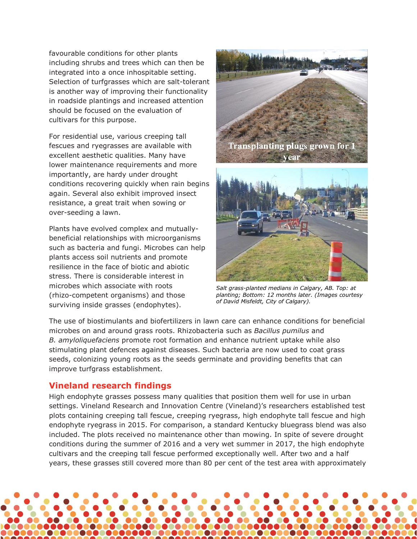favourable conditions for other plants including shrubs and trees which can then be integrated into a once inhospitable setting. Selection of turfgrasses which are salt-tolerant is another way of improving their functionality in roadside plantings and increased attention should be focused on the evaluation of cultivars for this purpose.

For residential use, various creeping tall fescues and ryegrasses are available with excellent aesthetic qualities. Many have lower maintenance requirements and more importantly, are hardy under drought conditions recovering quickly when rain begins again. Several also exhibit improved insect resistance, a great trait when sowing or over-seeding a lawn.

Plants have evolved complex and mutuallybeneficial relationships with microorganisms such as bacteria and fungi. Microbes can help plants access soil nutrients and promote resilience in the face of biotic and abiotic stress. There is considerable interest in microbes which associate with roots (rhizo-competent organisms) and those surviving inside grasses (endophytes).



*Salt grass-planted medians in Calgary, AB. Top: at planting; Bottom: 12 months later. (Images courtesy of David Misfeldt, City of Calgary).*

The use of biostimulants and biofertilizers in lawn care can enhance conditions for beneficial microbes on and around grass roots. Rhizobacteria such as *Bacillus pumilus* and *B. amyloliquefaciens* promote root formation and enhance nutrient uptake while also stimulating plant defences against diseases. Such bacteria are now used to coat grass seeds, colonizing young roots as the seeds germinate and providing benefits that can improve turfgrass establishment.

### **Vineland research findings**

High endophyte grasses possess many qualities that position them well for use in urban settings. Vineland Research and Innovation Centre (Vineland)'s researchers established test plots containing creeping tall fescue, creeping ryegrass, high endophyte tall fescue and high endophyte ryegrass in 2015. For comparison, a standard Kentucky bluegrass blend was also included. The plots received no maintenance other than mowing. In spite of severe drought conditions during the summer of 2016 and a very wet summer in 2017, the high endophyte cultivars and the creeping tall fescue performed exceptionally well. After two and a half years, these grasses still covered more than 80 per cent of the test area with approximately

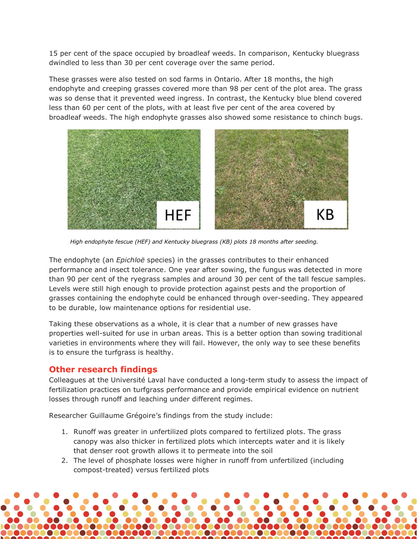15 per cent of the space occupied by broadleaf weeds. In comparison, Kentucky bluegrass dwindled to less than 30 per cent coverage over the same period.

These grasses were also tested on sod farms in Ontario. After 18 months, the high endophyte and creeping grasses covered more than 98 per cent of the plot area. The grass was so dense that it prevented weed ingress. In contrast, the Kentucky blue blend covered less than 60 per cent of the plots, with at least five per cent of the area covered by broadleaf weeds. The high endophyte grasses also showed some resistance to chinch bugs.



*High endophyte fescue (HEF) and Kentucky bluegrass (KB) plots 18 months after seeding.*

The endophyte (an *Epichloë* species) in the grasses contributes to their enhanced performance and insect tolerance. One year after sowing, the fungus was detected in more than 90 per cent of the ryegrass samples and around 30 per cent of the tall fescue samples. Levels were still high enough to provide protection against pests and the proportion of grasses containing the endophyte could be enhanced through over-seeding. They appeared to be durable, low maintenance options for residential use.

Taking these observations as a whole, it is clear that a number of new grasses have properties well-suited for use in urban areas. This is a better option than sowing traditional varieties in environments where they will fail. However, the only way to see these benefits is to ensure the turfgrass is healthy.

### **Other research findings**

Colleagues at the Université Laval have conducted a long-term study to assess the impact of fertilization practices on turfgrass performance and provide empirical evidence on nutrient losses through runoff and leaching under different regimes.

Researcher Guillaume Grégoire's findings from the study include:

- 1. Runoff was greater in unfertilized plots compared to fertilized plots. The grass canopy was also thicker in fertilized plots which intercepts water and it is likely that denser root growth allows it to permeate into the soil
- 2. The level of phosphate losses were higher in runoff from unfertilized (including compost-treated) versus fertilized plots

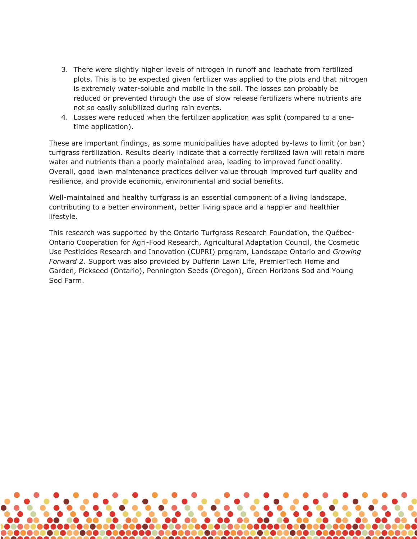- 3. There were slightly higher levels of nitrogen in runoff and leachate from fertilized plots. This is to be expected given fertilizer was applied to the plots and that nitrogen is extremely water-soluble and mobile in the soil. The losses can probably be reduced or prevented through the use of slow release fertilizers where nutrients are not so easily solubilized during rain events.
- 4. Losses were reduced when the fertilizer application was split (compared to a onetime application).

These are important findings, as some municipalities have adopted by-laws to limit (or ban) turfgrass fertilization. Results clearly indicate that a correctly fertilized lawn will retain more water and nutrients than a poorly maintained area, leading to improved functionality. Overall, good lawn maintenance practices deliver value through improved turf quality and resilience, and provide economic, environmental and social benefits.

Well-maintained and healthy turfgrass is an essential component of a living landscape, contributing to a better environment, better living space and a happier and healthier lifestyle.

This research was supported by the Ontario Turfgrass Research Foundation, the Québec-Ontario Cooperation for Agri-Food Research, Agricultural Adaptation Council, the Cosmetic Use Pesticides Research and Innovation (CUPRI) program, Landscape Ontario and *Growing Forward 2*. Support was also provided by Dufferin Lawn Life, PremierTech Home and Garden, Pickseed (Ontario), Pennington Seeds (Oregon), Green Horizons Sod and Young Sod Farm.